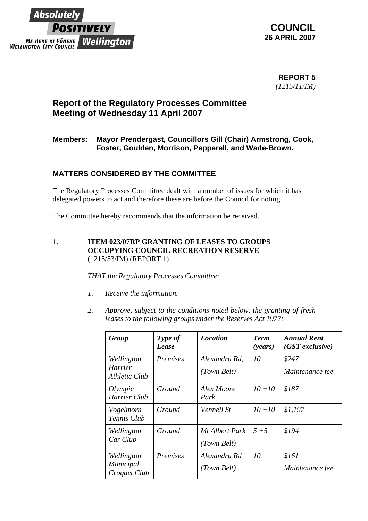

 **REPORT 5** *(1215/11/IM)* 

# **Report of the Regulatory Processes Committee Meeting of Wednesday 11 April 2007**

### **Members: Mayor Prendergast, Councillors Gill (Chair) Armstrong, Cook, Foster, Goulden, Morrison, Pepperell, and Wade-Brown.**

## **MATTERS CONSIDERED BY THE COMMITTEE**

The Regulatory Processes Committee dealt with a number of issues for which it has delegated powers to act and therefore these are before the Council for noting.

The Committee hereby recommends that the information be received.

#### 1. **ITEM 023/07RP GRANTING OF LEASES TO GROUPS OCCUPYING COUNCIL RECREATION RESERVE** (1215/53/IM) (REPORT 1)

*THAT the Regulatory Processes Committee:* 

- *1. Receive the information.*
- *2. Approve, subject to the conditions noted below, the granting of fresh leases to the following groups under the Reserves Act 1977:*

| Group                                   | Type of<br>Lease | <b>Location</b>               | <b>Term</b><br>( <i>years</i> ) | <b>Annual Rent</b><br>$(GST$ exclusive) |
|-----------------------------------------|------------------|-------------------------------|---------------------------------|-----------------------------------------|
| Wellington<br>Harrier<br>Athletic Club  | <i>Premises</i>  | Alexandra Rd.<br>(Town Belt)  | 10                              | \$247<br>Maintenance fee                |
| Olympic<br><b>Harrier Club</b>          | Ground           | Alex Moore<br>Park            | $10 + 10$                       | \$187                                   |
| Vogelmorn<br>Tennis Club                | Ground           | Vennell St                    | $10 + 10$                       | \$1,197                                 |
| Wellington<br>Car Club                  | Ground           | Mt Albert Park<br>(Town Belt) | $5 + 5$                         | \$194                                   |
| Wellington<br>Municipal<br>Croquet Club | <i>Premises</i>  | Alexandra Rd<br>(Town Belt)   | 10                              | \$161<br>Maintenance fee                |